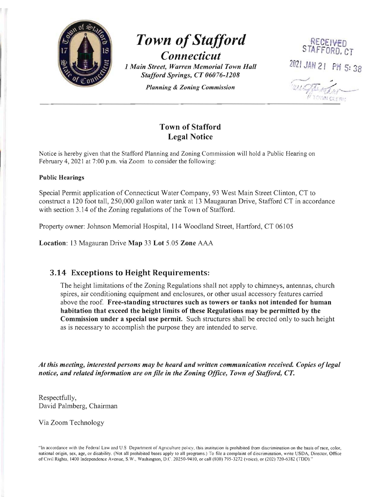

# **Town of Stafford** STAFFORD. CT **Connecticut**<br>at Warren Memorial Town Hall 2021 JAN 21 PM 5: 38 *1 Main Street, Warren Memorial Town Hall*

*Stafford Springs, CT 06076-1208 Planning* & *Zoning Commission* 



## Town of Stafford Legal Notice

Notice is hereby given that the Stafford Planning and Zoning Commission will hold a Public Hearing on February 4,2021 at 7:00 p.m. via Zoom to consider the following:

#### Public Hearings

Special Permit application of Connecticut Water Company, 93 West Main Street Clinton, CT to construct a 120 foot tall, 250,000 gallon water tank at 13 Maugauran Drive, Stafford CT in accordance with section 3.14 of the Zoning regulations of the Town of Stafford.

Property owner: Johnson Memorial Hospital, 114 Woodland Street, Hartford, CT 06105

Location: 13 Magauran Drive Map 33 Lot 5.05 Zone AAA

### 3.14 Exceptions to Height Requirements:

The height limitations of the Zoning Regulations shall not apply to chimneys, antennas, church spires, air conditioning equipment and enclosures, or other usual accessory features carried above the roof. Free-standing structures such as towers or tanks not intended for human habitation that exceed the height limits of these Regulations may be permitted by the Commission under a special use permit. Such structures shall be erected only to such height as is necessary to accomplish the purpose they are intended to serve.

*At this meeting, interested persons may be heard and written communication received. Copies oflegal notice, and related information are on file in the Zoning Office, Town of Stafford, CT.* 

Respectfully, David Palmberg, Chairman

Via Zoom Technology

"In accordance with the Federal Law and U.S Department of Agriculture policy, this institution is prohibited from discrimination on the basis of race, color, oational origin, sex, age, or disability. (Not all prohibited bases apply to all programs.) To file a complaint of discrimination , write USDA, Director, Office of Civil Rights, 1400 Independence Avenue, S. W., Washington, D.C 20250-9410, or call (800) 795-3272 (voice), or (202) 720-6382 (TDDl "